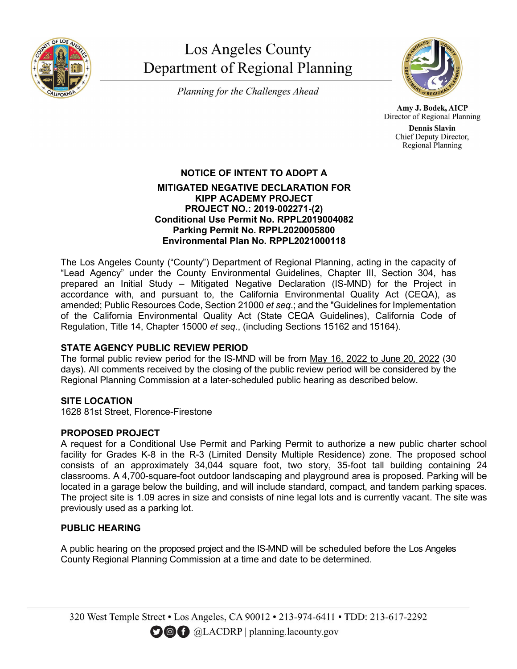

# **Los Angeles County** Department of Regional Planning

Planning for the Challenges Ahead



Amy J. Bodek, AICP Director of Regional Planning

> **Dennis Slavin** Chief Deputy Director, Regional Planning

### **NOTICE OF INTENT TO ADOPT A MITIGATED NEGATIVE DECLARATION FOR KIPP ACADEMY PROJECT PROJECT NO.: 2019-002271-(2) Conditional Use Permit No. RPPL2019004082 Parking Permit No. RPPL2020005800 Environmental Plan No. RPPL2021000118**

The Los Angeles County ("County") Department of Regional Planning, acting in the capacity of "Lead Agency" under the County Environmental Guidelines, Chapter III, Section 304, has prepared an Initial Study – Mitigated Negative Declaration (IS-MND) for the Project in accordance with, and pursuant to, the California Environmental Quality Act (CEQA), as amended; Public Resources Code, Section 21000 *et seq*.; and the "Guidelines for Implementation of the California Environmental Quality Act (State CEQA Guidelines), California Code of Regulation, Title 14, Chapter 15000 *et seq*., (including Sections 15162 and 15164).

## **STATE AGENCY PUBLIC REVIEW PERIOD**

The formal public review period for the IS-MND will be from May 16, 2022 to June 20, 2022 (30 days). All comments received by the closing of the public review period will be considered by the Regional Planning Commission at a later-scheduled public hearing as described below.

# **SITE LOCATION**

1628 81st Street, Florence-Firestone

## **PROPOSED PROJECT**

A request for a Conditional Use Permit and Parking Permit to authorize a new public charter school facility for Grades K-8 in the R-3 (Limited Density Multiple Residence) zone. The proposed school consists of an approximately 34,044 square foot, two story, 35-foot tall building containing 24 classrooms. A 4,700-square-foot outdoor landscaping and playground area is proposed. Parking will be located in a garage below the building, and will include standard, compact, and tandem parking spaces. The project site is 1.09 acres in size and consists of nine legal lots and is currently vacant. The site was previously used as a parking lot.

# **PUBLIC HEARING**

A public hearing on the proposed project and the IS-MND will be scheduled before the Los Angeles County Regional Planning Commission at a time and date to be determined.